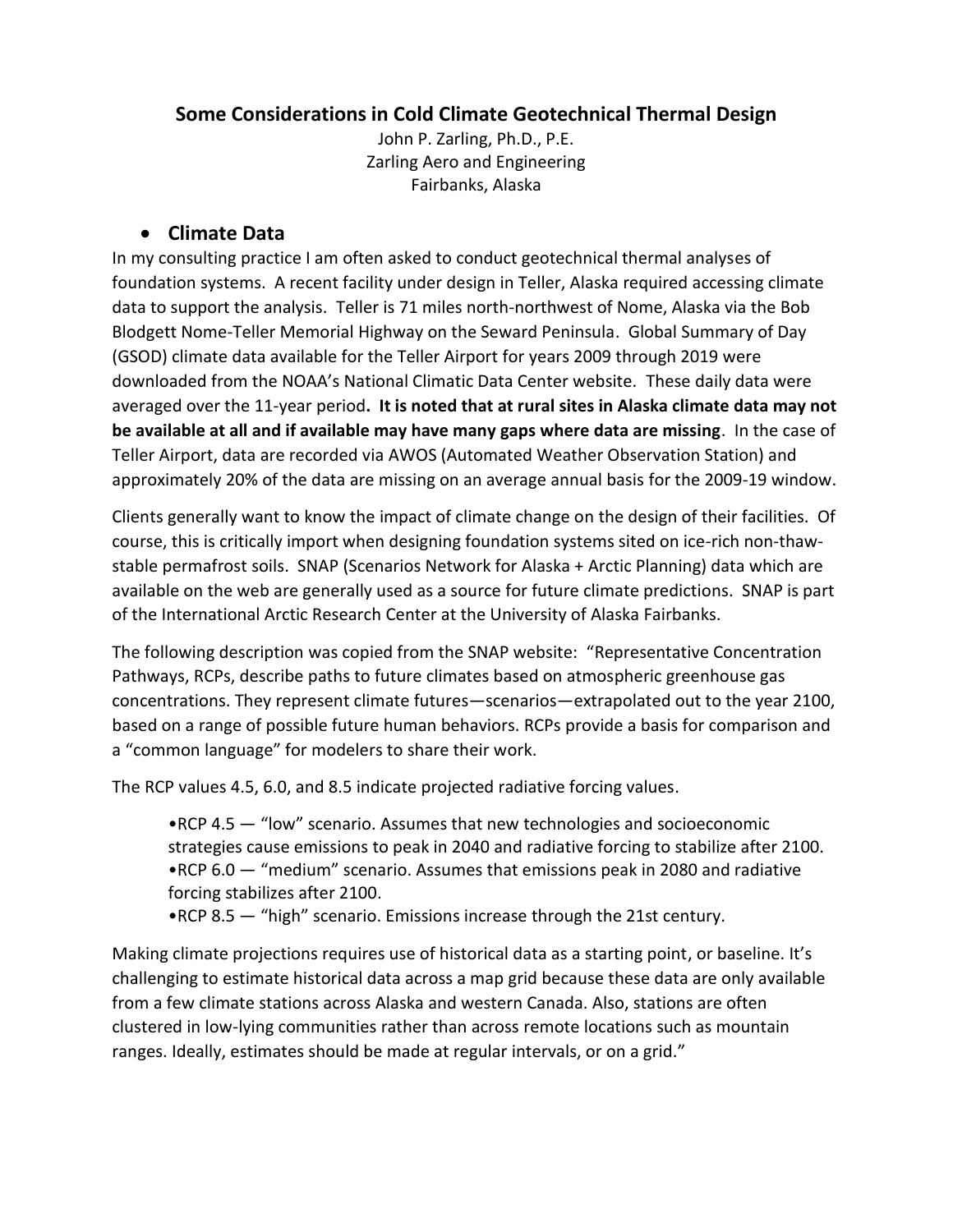# **Some Considerations in Cold Climate Geotechnical Thermal Design**

John P. Zarling, Ph.D., P.E. Zarling Aero and Engineering Fairbanks, Alaska

## • **Climate Data**

In my consulting practice I am often asked to conduct geotechnical thermal analyses of foundation systems. A recent facility under design in Teller, Alaska required accessing climate data to support the analysis. Teller is 71 miles north-northwest of Nome, Alaska via the Bob Blodgett Nome-Teller Memorial Highway on the Seward Peninsula. Global Summary of Day (GSOD) climate data available for the Teller Airport for years 2009 through 2019 were downloaded from the NOAA's National Climatic Data Center website. These daily data were averaged over the 11-year period**. It is noted that at rural sites in Alaska climate data may not be available at all and if available may have many gaps where data are missing**. In the case of Teller Airport, data are recorded via AWOS (Automated Weather Observation Station) and approximately 20% of the data are missing on an average annual basis for the 2009-19 window.

Clients generally want to know the impact of climate change on the design of their facilities. Of course, this is critically import when designing foundation systems sited on ice-rich non-thawstable permafrost soils. SNAP (Scenarios Network for Alaska + Arctic Planning) data which are available on the web are generally used as a source for future climate predictions. SNAP is part of the International Arctic Research Center at the University of Alaska Fairbanks.

The following description was copied from the SNAP website: "Representative Concentration Pathways, RCPs, describe paths to future climates based on atmospheric greenhouse gas concentrations. They represent climate futures—scenarios—extrapolated out to the year 2100, based on a range of possible future human behaviors. RCPs provide a basis for comparison and a "common language" for modelers to share their work.

The RCP values 4.5, 6.0, and 8.5 indicate projected radiative forcing values.

•RCP 4.5 — "low" scenario. Assumes that new technologies and socioeconomic strategies cause emissions to peak in 2040 and radiative forcing to stabilize after 2100. •RCP 6.0 — "medium" scenario. Assumes that emissions peak in 2080 and radiative forcing stabilizes after 2100.

•RCP 8.5 — "high" scenario. Emissions increase through the 21st century.

Making climate projections requires use of historical data as a starting point, or baseline. It's challenging to estimate historical data across a map grid because these data are only available from a few climate stations across Alaska and western Canada. Also, stations are often clustered in low-lying communities rather than across remote locations such as mountain ranges. Ideally, estimates should be made at regular intervals, or on a grid."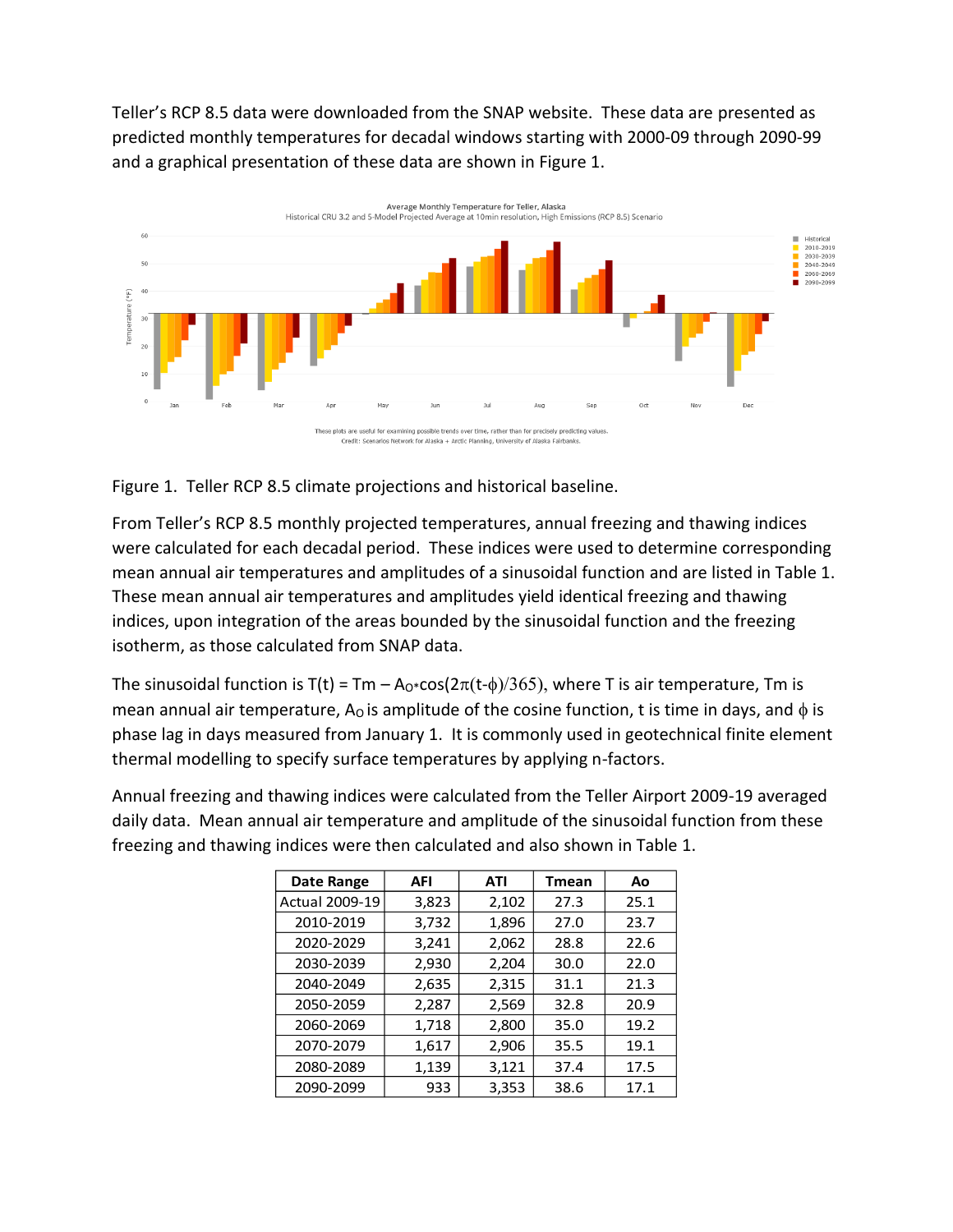Teller's RCP 8.5 data were downloaded from the SNAP website. These data are presented as predicted monthly temperatures for decadal windows starting with 2000-09 through 2090-99 and a graphical presentation of these data are shown in Figure 1.



Figure 1. Teller RCP 8.5 climate projections and historical baseline.

From Teller's RCP 8.5 monthly projected temperatures, annual freezing and thawing indices were calculated for each decadal period. These indices were used to determine corresponding mean annual air temperatures and amplitudes of a sinusoidal function and are listed in Table 1. These mean annual air temperatures and amplitudes yield identical freezing and thawing indices, upon integration of the areas bounded by the sinusoidal function and the freezing isotherm, as those calculated from SNAP data.

The sinusoidal function is T(t) = Tm – A<sub>0</sub>\*cos( $2\pi(t-\phi)/365$ ), where T is air temperature, Tm is mean annual air temperature, A<sub>O</sub> is amplitude of the cosine function, t is time in days, and  $\phi$  is phase lag in days measured from January 1. It is commonly used in geotechnical finite element thermal modelling to specify surface temperatures by applying n-factors.

Annual freezing and thawing indices were calculated from the Teller Airport 2009-19 averaged daily data. Mean annual air temperature and amplitude of the sinusoidal function from these freezing and thawing indices were then calculated and also shown in Table 1.

| Date Range            | AFI   | ATI   | <b>Tmean</b> | Ao   |
|-----------------------|-------|-------|--------------|------|
| <b>Actual 2009-19</b> | 3,823 | 2,102 | 27.3         | 25.1 |
| 2010-2019             | 3,732 | 1,896 | 27.0         | 23.7 |
| 2020-2029             | 3,241 | 2,062 | 28.8         | 22.6 |
| 2030-2039             | 2,930 | 2,204 | 30.0         | 22.0 |
| 2040-2049             | 2,635 | 2,315 | 31.1         | 21.3 |
| 2050-2059             | 2,287 | 2,569 | 32.8         | 20.9 |
| 2060-2069             | 1,718 | 2,800 | 35.0         | 19.2 |
| 2070-2079             | 1,617 | 2,906 | 35.5         | 19.1 |
| 2080-2089             | 1,139 | 3,121 | 37.4         | 17.5 |
| 2090-2099             | 933   | 3,353 | 38.6         | 17.1 |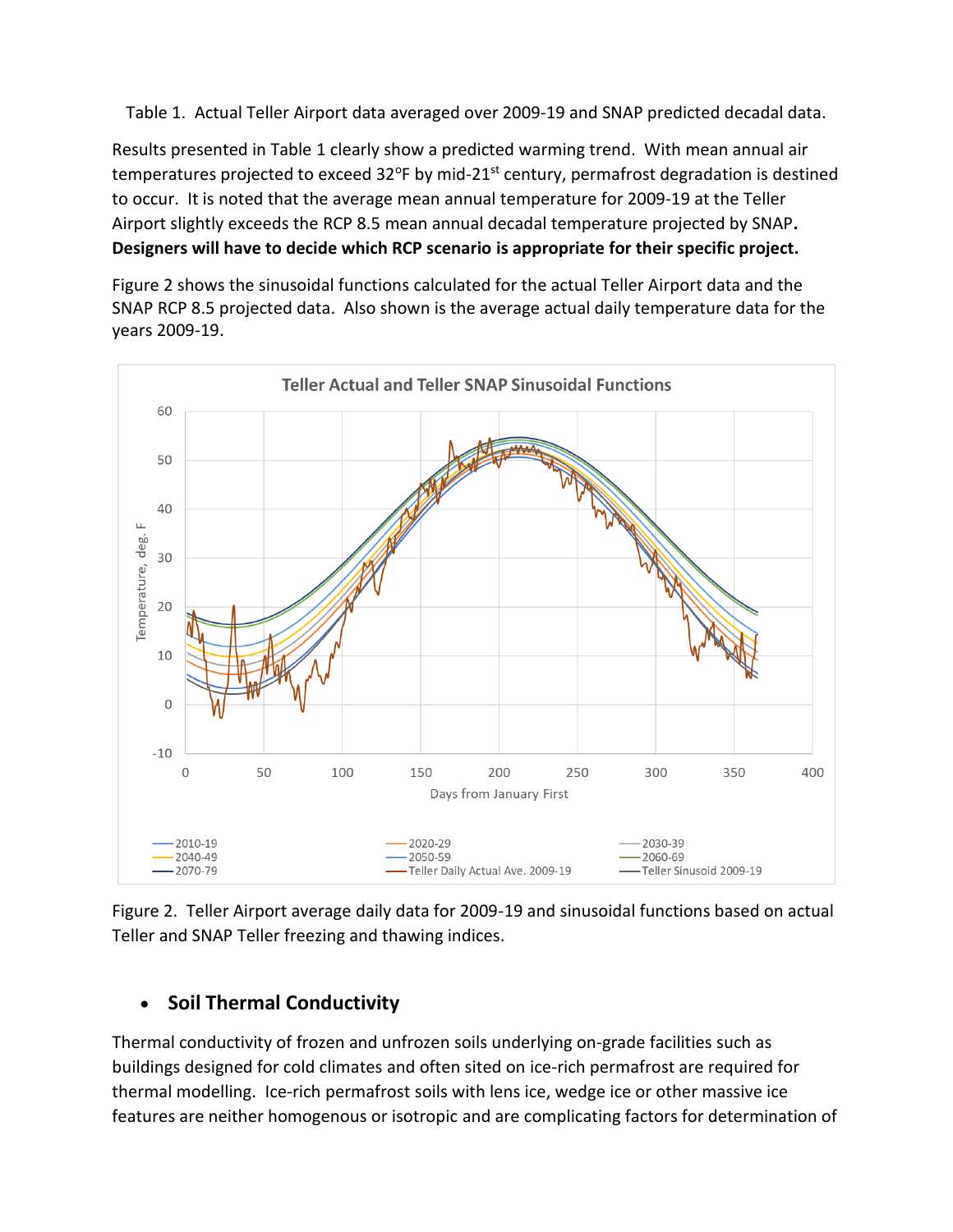Table 1. Actual Teller Airport data averaged over 2009-19 and SNAP predicted decadal data.

Results presented in Table 1 clearly show a predicted warming trend. With mean annual air temperatures projected to exceed  $32^{\circ}$ F by mid-21<sup>st</sup> century, permafrost degradation is destined to occur. It is noted that the average mean annual temperature for 2009-19 at the Teller Airport slightly exceeds the RCP 8.5 mean annual decadal temperature projected by SNAP**. Designers will have to decide which RCP scenario is appropriate for their specific project.**

Figure 2 shows the sinusoidal functions calculated for the actual Teller Airport data and the SNAP RCP 8.5 projected data. Also shown is the average actual daily temperature data for the years 2009-19.



Figure 2. Teller Airport average daily data for 2009-19 and sinusoidal functions based on actual Teller and SNAP Teller freezing and thawing indices.

# • **Soil Thermal Conductivity**

Thermal conductivity of frozen and unfrozen soils underlying on-grade facilities such as buildings designed for cold climates and often sited on ice-rich permafrost are required for thermal modelling. Ice-rich permafrost soils with lens ice, wedge ice or other massive ice features are neither homogenous or isotropic and are complicating factors for determination of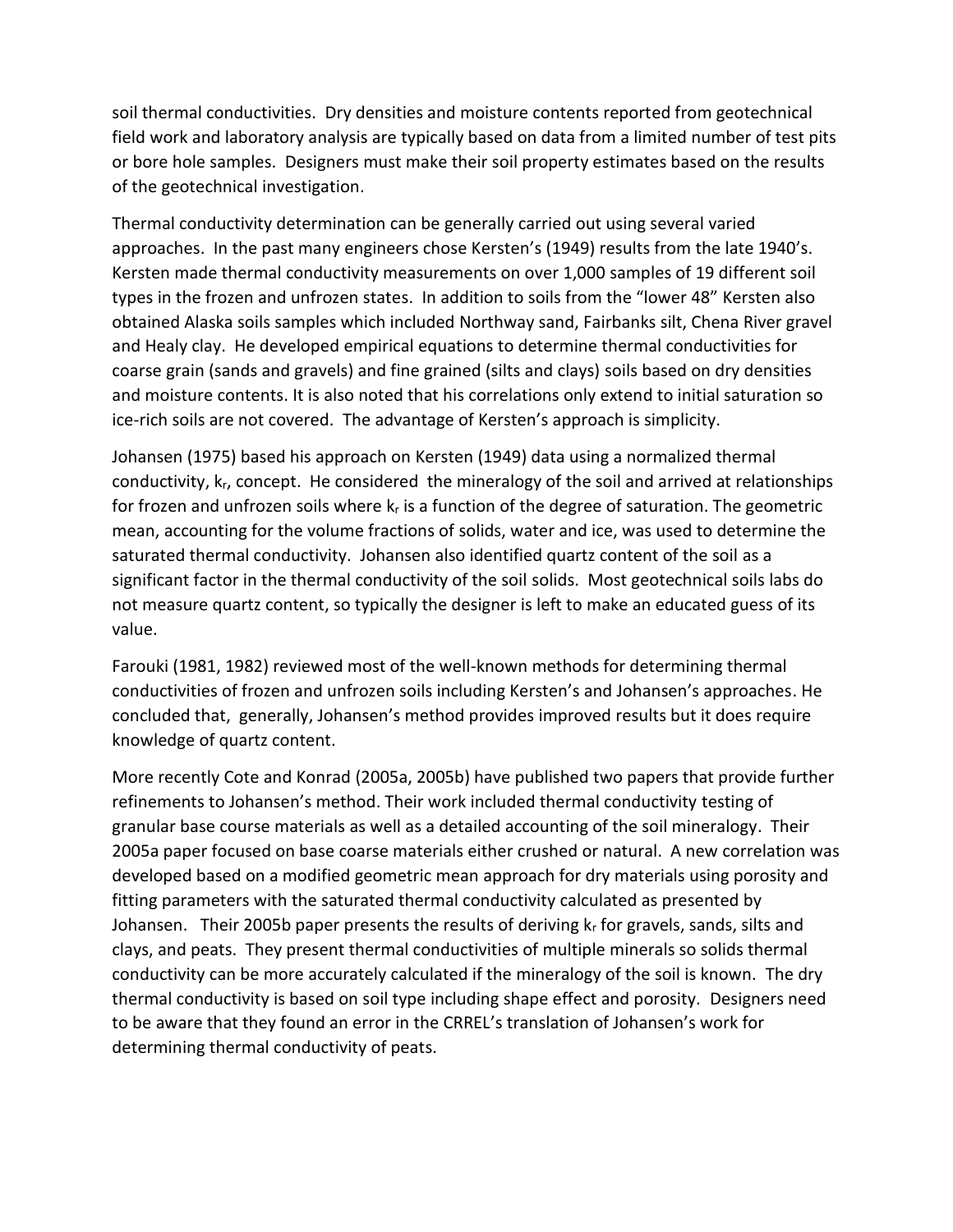soil thermal conductivities. Dry densities and moisture contents reported from geotechnical field work and laboratory analysis are typically based on data from a limited number of test pits or bore hole samples. Designers must make their soil property estimates based on the results of the geotechnical investigation.

Thermal conductivity determination can be generally carried out using several varied approaches. In the past many engineers chose Kersten's (1949) results from the late 1940's. Kersten made thermal conductivity measurements on over 1,000 samples of 19 different soil types in the frozen and unfrozen states. In addition to soils from the "lower 48" Kersten also obtained Alaska soils samples which included Northway sand, Fairbanks silt, Chena River gravel and Healy clay. He developed empirical equations to determine thermal conductivities for coarse grain (sands and gravels) and fine grained (silts and clays) soils based on dry densities and moisture contents. It is also noted that his correlations only extend to initial saturation so ice-rich soils are not covered. The advantage of Kersten's approach is simplicity.

Johansen (1975) based his approach on Kersten (1949) data using a normalized thermal conductivity, kr, concept. He considered the mineralogy of the soil and arrived at relationships for frozen and unfrozen soils where  $k_r$  is a function of the degree of saturation. The geometric mean, accounting for the volume fractions of solids, water and ice, was used to determine the saturated thermal conductivity. Johansen also identified quartz content of the soil as a significant factor in the thermal conductivity of the soil solids. Most geotechnical soils labs do not measure quartz content, so typically the designer is left to make an educated guess of its value.

Farouki (1981, 1982) reviewed most of the well-known methods for determining thermal conductivities of frozen and unfrozen soils including Kersten's and Johansen's approaches. He concluded that, generally, Johansen's method provides improved results but it does require knowledge of quartz content.

More recently Cote and Konrad (2005a, 2005b) have published two papers that provide further refinements to Johansen's method. Their work included thermal conductivity testing of granular base course materials as well as a detailed accounting of the soil mineralogy. Their 2005a paper focused on base coarse materials either crushed or natural. A new correlation was developed based on a modified geometric mean approach for dry materials using porosity and fitting parameters with the saturated thermal conductivity calculated as presented by Johansen. Their 2005b paper presents the results of deriving  $k<sub>r</sub>$  for gravels, sands, silts and clays, and peats. They present thermal conductivities of multiple minerals so solids thermal conductivity can be more accurately calculated if the mineralogy of the soil is known. The dry thermal conductivity is based on soil type including shape effect and porosity. Designers need to be aware that they found an error in the CRREL's translation of Johansen's work for determining thermal conductivity of peats.